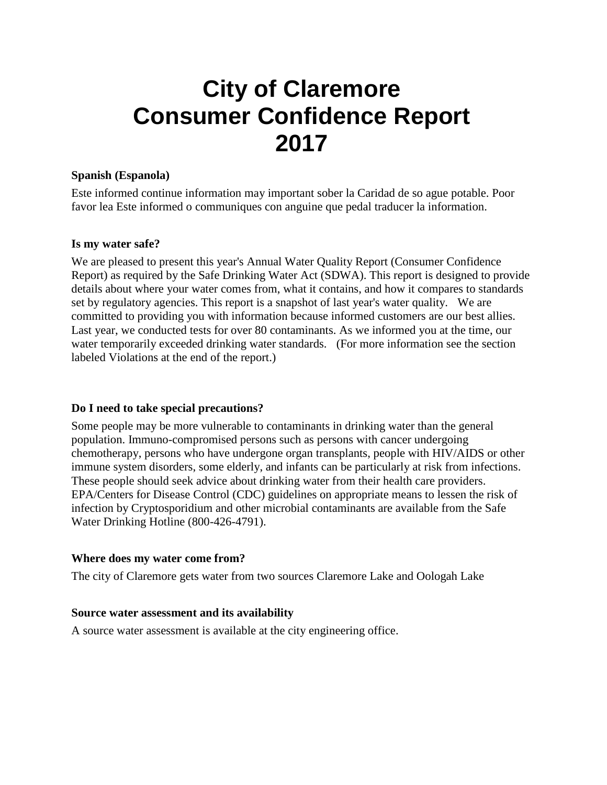# **City of Claremore Consumer Confidence Report 2017**

#### **Spanish (Espanola)**

Este informed continue information may important sober la Caridad de so ague potable. Poor favor lea Este informed o communiques con anguine que pedal traducer la information.

#### **Is my water safe?**

We are pleased to present this year's Annual Water Quality Report (Consumer Confidence Report) as required by the Safe Drinking Water Act (SDWA). This report is designed to provide details about where your water comes from, what it contains, and how it compares to standards set by regulatory agencies. This report is a snapshot of last year's water quality. We are committed to providing you with information because informed customers are our best allies. Last year, we conducted tests for over 80 contaminants. As we informed you at the time, our water temporarily exceeded drinking water standards. (For more information see the section labeled Violations at the end of the report.)

#### **Do I need to take special precautions?**

Some people may be more vulnerable to contaminants in drinking water than the general population. Immuno-compromised persons such as persons with cancer undergoing chemotherapy, persons who have undergone organ transplants, people with HIV/AIDS or other immune system disorders, some elderly, and infants can be particularly at risk from infections. These people should seek advice about drinking water from their health care providers. EPA/Centers for Disease Control (CDC) guidelines on appropriate means to lessen the risk of infection by Cryptosporidium and other microbial contaminants are available from the Safe Water Drinking Hotline (800-426-4791).

#### **Where does my water come from?**

The city of Claremore gets water from two sources Claremore Lake and Oologah Lake

#### **Source water assessment and its availability**

A source water assessment is available at the city engineering office.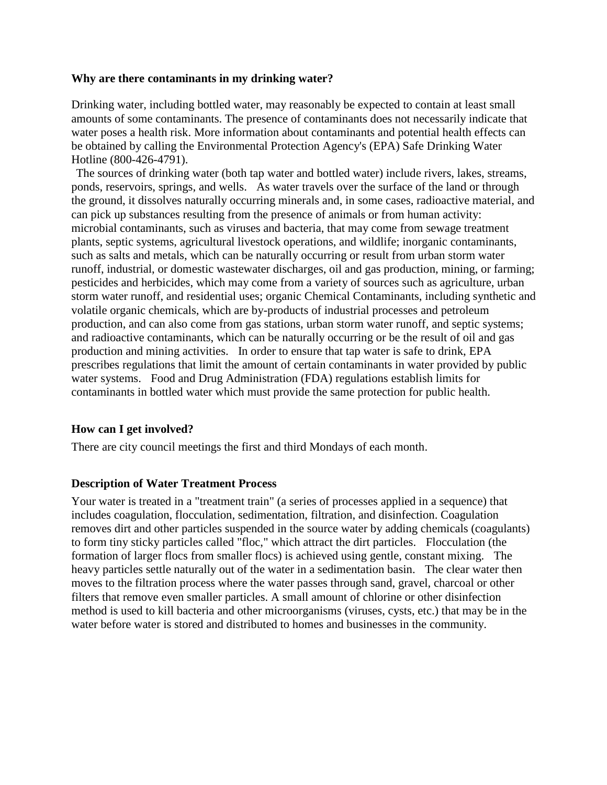#### **Why are there contaminants in my drinking water?**

Drinking water, including bottled water, may reasonably be expected to contain at least small amounts of some contaminants. The presence of contaminants does not necessarily indicate that water poses a health risk. More information about contaminants and potential health effects can be obtained by calling the Environmental Protection Agency's (EPA) Safe Drinking Water Hotline (800-426-4791).

The sources of drinking water (both tap water and bottled water) include rivers, lakes, streams, ponds, reservoirs, springs, and wells. As water travels over the surface of the land or through the ground, it dissolves naturally occurring minerals and, in some cases, radioactive material, and can pick up substances resulting from the presence of animals or from human activity: microbial contaminants, such as viruses and bacteria, that may come from sewage treatment plants, septic systems, agricultural livestock operations, and wildlife; inorganic contaminants, such as salts and metals, which can be naturally occurring or result from urban storm water runoff, industrial, or domestic wastewater discharges, oil and gas production, mining, or farming; pesticides and herbicides, which may come from a variety of sources such as agriculture, urban storm water runoff, and residential uses; organic Chemical Contaminants, including synthetic and volatile organic chemicals, which are by-products of industrial processes and petroleum production, and can also come from gas stations, urban storm water runoff, and septic systems; and radioactive contaminants, which can be naturally occurring or be the result of oil and gas production and mining activities. In order to ensure that tap water is safe to drink, EPA prescribes regulations that limit the amount of certain contaminants in water provided by public water systems. Food and Drug Administration (FDA) regulations establish limits for contaminants in bottled water which must provide the same protection for public health.

#### **How can I get involved?**

There are city council meetings the first and third Mondays of each month.

#### **Description of Water Treatment Process**

Your water is treated in a "treatment train" (a series of processes applied in a sequence) that includes coagulation, flocculation, sedimentation, filtration, and disinfection. Coagulation removes dirt and other particles suspended in the source water by adding chemicals (coagulants) to form tiny sticky particles called "floc," which attract the dirt particles. Flocculation (the formation of larger flocs from smaller flocs) is achieved using gentle, constant mixing. The heavy particles settle naturally out of the water in a sedimentation basin. The clear water then moves to the filtration process where the water passes through sand, gravel, charcoal or other filters that remove even smaller particles. A small amount of chlorine or other disinfection method is used to kill bacteria and other microorganisms (viruses, cysts, etc.) that may be in the water before water is stored and distributed to homes and businesses in the community.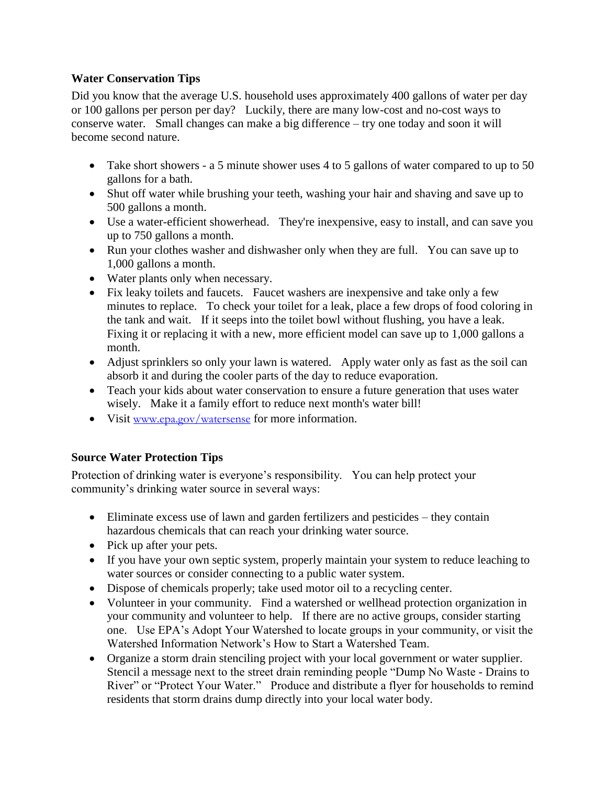### **Water Conservation Tips**

Did you know that the average U.S. household uses approximately 400 gallons of water per day or 100 gallons per person per day? Luckily, there are many low-cost and no-cost ways to conserve water. Small changes can make a big difference – try one today and soon it will become second nature.

- Take short showers a 5 minute shower uses 4 to 5 gallons of water compared to up to 50 gallons for a bath.
- Shut off water while brushing your teeth, washing your hair and shaving and save up to 500 gallons a month.
- Use a water-efficient showerhead. They're inexpensive, easy to install, and can save you up to 750 gallons a month.
- Run your clothes washer and dishwasher only when they are full. You can save up to 1,000 gallons a month.
- Water plants only when necessary.
- Fix leaky toilets and faucets. Faucet washers are inexpensive and take only a few minutes to replace. To check your toilet for a leak, place a few drops of food coloring in the tank and wait. If it seeps into the toilet bowl without flushing, you have a leak. Fixing it or replacing it with a new, more efficient model can save up to 1,000 gallons a month.
- Adjust sprinklers so only your lawn is watered. Apply water only as fast as the soil can absorb it and during the cooler parts of the day to reduce evaporation.
- Teach your kids about water conservation to ensure a future generation that uses water wisely. Make it a family effort to reduce next month's water bill!
- Visit [www.epa.gov/watersense](http://www.epa.gov/watersense) for more information.

## **Source Water Protection Tips**

Protection of drinking water is everyone's responsibility. You can help protect your community's drinking water source in several ways:

- Eliminate excess use of lawn and garden fertilizers and pesticides they contain hazardous chemicals that can reach your drinking water source.
- Pick up after your pets.
- If you have your own septic system, properly maintain your system to reduce leaching to water sources or consider connecting to a public water system.
- Dispose of chemicals properly; take used motor oil to a recycling center.
- Volunteer in your community. Find a watershed or wellhead protection organization in your community and volunteer to help. If there are no active groups, consider starting one. Use EPA's Adopt Your Watershed to locate groups in your community, or visit the Watershed Information Network's How to Start a Watershed Team.
- Organize a storm drain stenciling project with your local government or water supplier. Stencil a message next to the street drain reminding people "Dump No Waste - Drains to River" or "Protect Your Water." Produce and distribute a flyer for households to remind residents that storm drains dump directly into your local water body.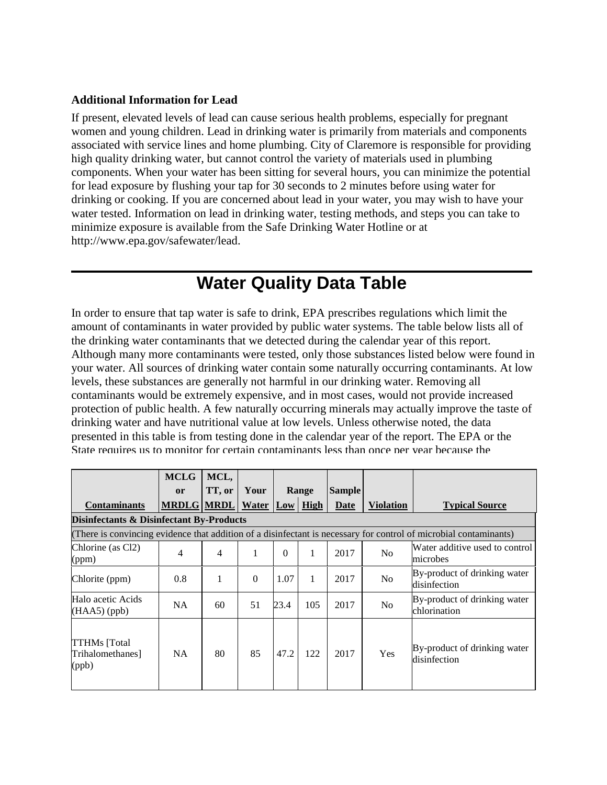#### **Additional Information for Lead**

If present, elevated levels of lead can cause serious health problems, especially for pregnant women and young children. Lead in drinking water is primarily from materials and components associated with service lines and home plumbing. City of Claremore is responsible for providing high quality drinking water, but cannot control the variety of materials used in plumbing components. When your water has been sitting for several hours, you can minimize the potential for lead exposure by flushing your tap for 30 seconds to 2 minutes before using water for drinking or cooking. If you are concerned about lead in your water, you may wish to have your water tested. Information on lead in drinking water, testing methods, and steps you can take to minimize exposure is available from the Safe Drinking Water Hotline or at http://www.epa.gov/safewater/lead.

# **Water Quality Data Table**

In order to ensure that tap water is safe to drink, EPA prescribes regulations which limit the amount of contaminants in water provided by public water systems. The table below lists all of the drinking water contaminants that we detected during the calendar year of this report. Although many more contaminants were tested, only those substances listed below were found in your water. All sources of drinking water contain some naturally occurring contaminants. At low levels, these substances are generally not harmful in our drinking water. Removing all contaminants would be extremely expensive, and in most cases, would not provide increased protection of public health. A few naturally occurring minerals may actually improve the taste of drinking water and have nutritional value at low levels. Unless otherwise noted, the data presented in this table is from testing done in the calendar year of the report. The EPA or the State requires us to monitor for certain contaminants less than once per year because the

|                                           | <b>MCLG</b>       | MCL,                     |                       |          |       |               |                  |                                                                                                                   |
|-------------------------------------------|-------------------|--------------------------|-----------------------|----------|-------|---------------|------------------|-------------------------------------------------------------------------------------------------------------------|
|                                           | <b>or</b>         | TT, or                   | Your                  |          | Range | <b>Sample</b> |                  |                                                                                                                   |
| <b>Contaminants</b>                       | <b>MRDLG MRDL</b> |                          | <b>Water Low High</b> |          |       | Date          | <b>Violation</b> | <b>Typical Source</b>                                                                                             |
| Disinfectants & Disinfectant By-Products  |                   |                          |                       |          |       |               |                  |                                                                                                                   |
|                                           |                   |                          |                       |          |       |               |                  | (There is convincing evidence that addition of a disinfectant is necessary for control of microbial contaminants) |
| Chlorine (as Cl2)<br>(ppm)                | $\overline{4}$    | $\overline{\mathcal{A}}$ | 1                     | $\Omega$ | 1     | 2017          | N <sub>0</sub>   | Water additive used to control<br>microbes                                                                        |
| Chlorite (ppm)                            | 0.8               |                          | $\Omega$              | 1.07     | 1     | 2017          | No               | By-product of drinking water<br>disinfection                                                                      |
| Halo acetic Acids<br>$(HAA5)$ (ppb)       | <b>NA</b>         | 60                       | 51                    | 23.4     | 105   | 2017          | N <sub>0</sub>   | By-product of drinking water<br>chlorination                                                                      |
| TTHMs [Total<br>Trihalomethanes]<br>(ppb) | <b>NA</b>         | 80                       | 85                    | 47.2     | 122   | 2017          | Yes              | By-product of drinking water<br>disinfection                                                                      |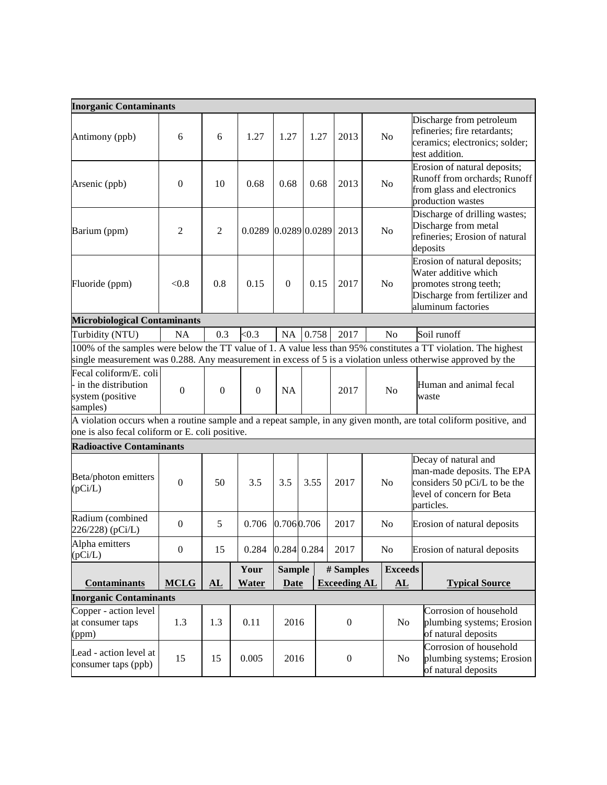| <b>Inorganic Contaminants</b>                                                 |                  |                        |                      |                              |       |                                  |  |                                          |                                                                                                                                                                                                                                 |
|-------------------------------------------------------------------------------|------------------|------------------------|----------------------|------------------------------|-------|----------------------------------|--|------------------------------------------|---------------------------------------------------------------------------------------------------------------------------------------------------------------------------------------------------------------------------------|
| Antimony (ppb)                                                                | 6                | 6                      | 1.27                 | 1.27                         | 1.27  | 2013                             |  | N <sub>o</sub>                           | Discharge from petroleum<br>refineries; fire retardants;<br>ceramics; electronics; solder;<br>test addition.                                                                                                                    |
| Arsenic (ppb)                                                                 | $\mathbf{0}$     | 10                     | 0.68                 | 0.68                         | 0.68  | 2013                             |  | No                                       | Erosion of natural deposits;<br>Runoff from orchards; Runoff<br>from glass and electronics<br>production wastes                                                                                                                 |
| Barium (ppm)                                                                  | $\overline{2}$   | $\mathfrak{2}$         | 0.0289 0.0289 0.0289 |                              |       | 2013                             |  | N <sub>o</sub>                           | Discharge of drilling wastes;<br>Discharge from metal<br>refineries; Erosion of natural<br>deposits                                                                                                                             |
| Fluoride (ppm)                                                                | < 0.8            | 0.8                    | 0.15                 | $\mathbf{0}$                 | 0.15  | 2017                             |  | N <sub>o</sub>                           | Erosion of natural deposits;<br>Water additive which<br>promotes strong teeth;<br>Discharge from fertilizer and<br>aluminum factories                                                                                           |
| <b>Microbiological Contaminants</b>                                           |                  |                        |                      |                              |       |                                  |  |                                          |                                                                                                                                                                                                                                 |
| Turbidity (NTU)                                                               | NA               | 0.3                    | < 0.3                | <b>NA</b>                    | 0.758 | 2017                             |  | N <sub>o</sub>                           | Soil runoff                                                                                                                                                                                                                     |
|                                                                               |                  |                        |                      |                              |       |                                  |  |                                          | 100% of the samples were below the TT value of 1. A value less than 95% constitutes a TT violation. The highest<br>single measurement was 0.288. Any measurement in excess of 5 is a violation unless otherwise approved by the |
| Fecal coliform/E. coli<br>in the distribution<br>system (positive<br>samples) | $\overline{0}$   | $\mathbf{0}$           | $\mathbf{0}$         | <b>NA</b>                    |       | 2017                             |  | No                                       | Human and animal fecal<br>waste                                                                                                                                                                                                 |
| one is also fecal coliform or E. coli positive.                               |                  |                        |                      |                              |       |                                  |  |                                          | A violation occurs when a routine sample and a repeat sample, in any given month, are total coliform positive, and                                                                                                              |
| <b>Radioactive Contaminants</b>                                               |                  |                        |                      |                              |       |                                  |  |                                          |                                                                                                                                                                                                                                 |
| Beta/photon emitters<br>(pCi/L)                                               | $\mathbf{0}$     | 50                     | 3.5                  | 3.5                          | 3.55  | 2017                             |  | N <sub>o</sub>                           | Decay of natural and<br>man-made deposits. The EPA<br>considers 50 pCi/L to be the<br>level of concern for Beta<br>particles.                                                                                                   |
| Radium (combined<br>226/228) (pCi/L)                                          | $\boldsymbol{0}$ | 5                      | 0.706                | 0.706 0.706                  |       | 2017                             |  | No                                       | Erosion of natural deposits                                                                                                                                                                                                     |
| Alpha emitters<br>(pCi/L)                                                     | $\boldsymbol{0}$ | 15                     | 0.284                | 0.284 0.284                  |       | 2017                             |  | No                                       | Erosion of natural deposits                                                                                                                                                                                                     |
| <b>Contaminants</b>                                                           | <b>MCLG</b>      | ${\bf \underline{AL}}$ | Your<br><b>Water</b> | <b>Sample</b><br><b>Date</b> |       | # Samples<br><b>Exceeding AL</b> |  | <b>Exceeds</b><br>${\bf \underline{AL}}$ | <b>Typical Source</b>                                                                                                                                                                                                           |
| <b>Inorganic Contaminants</b>                                                 |                  |                        |                      |                              |       |                                  |  |                                          |                                                                                                                                                                                                                                 |
| Copper - action level<br>at consumer taps<br>(ppm)                            | 1.3              | 1.3                    | 0.11                 | 2016                         |       | $\boldsymbol{0}$                 |  | No                                       | Corrosion of household<br>plumbing systems; Erosion<br>of natural deposits                                                                                                                                                      |
| Lead - action level at<br>consumer taps (ppb)                                 | 15               | 15                     | 0.005                | 2016                         |       | $\boldsymbol{0}$                 |  | No                                       | Corrosion of household<br>plumbing systems; Erosion<br>of natural deposits                                                                                                                                                      |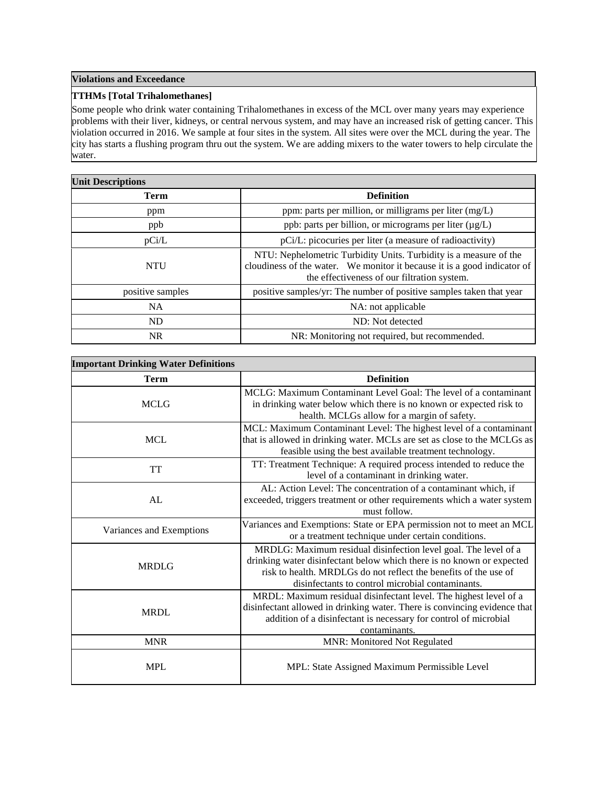#### **Violations and Exceedance**

#### **TTHMs [Total Trihalomethanes]**

Some people who drink water containing Trihalomethanes in excess of the MCL over many years may experience problems with their liver, kidneys, or central nervous system, and may have an increased risk of getting cancer. This violation occurred in 2016. We sample at four sites in the system. All sites were over the MCL during the year. The city has starts a flushing program thru out the system. We are adding mixers to the water towers to help circulate the water.

| <b>Unit Descriptions</b> |                                                                                                                                                                                              |  |  |  |  |  |
|--------------------------|----------------------------------------------------------------------------------------------------------------------------------------------------------------------------------------------|--|--|--|--|--|
| <b>Term</b>              | <b>Definition</b>                                                                                                                                                                            |  |  |  |  |  |
| ppm                      | ppm: parts per million, or milligrams per liter (mg/L)                                                                                                                                       |  |  |  |  |  |
| ppb                      | ppb: parts per billion, or micrograms per liter (µg/L)                                                                                                                                       |  |  |  |  |  |
| pCi/L                    | pCi/L: picocuries per liter (a measure of radioactivity)                                                                                                                                     |  |  |  |  |  |
| <b>NTU</b>               | NTU: Nephelometric Turbidity Units. Turbidity is a measure of the<br>cloudiness of the water. We monitor it because it is a good indicator of<br>the effectiveness of our filtration system. |  |  |  |  |  |
| positive samples         | positive samples/yr: The number of positive samples taken that year                                                                                                                          |  |  |  |  |  |
| NA.                      | NA: not applicable                                                                                                                                                                           |  |  |  |  |  |
| ND                       | ND: Not detected                                                                                                                                                                             |  |  |  |  |  |
| <b>NR</b>                | NR: Monitoring not required, but recommended.                                                                                                                                                |  |  |  |  |  |

| <b>Important Drinking Water Definitions</b> |                                                                                                                                                                                                                                                                  |  |  |  |  |  |
|---------------------------------------------|------------------------------------------------------------------------------------------------------------------------------------------------------------------------------------------------------------------------------------------------------------------|--|--|--|--|--|
| <b>Term</b>                                 | <b>Definition</b>                                                                                                                                                                                                                                                |  |  |  |  |  |
| <b>MCLG</b>                                 | MCLG: Maximum Contaminant Level Goal: The level of a contaminant<br>in drinking water below which there is no known or expected risk to<br>health. MCLGs allow for a margin of safety.                                                                           |  |  |  |  |  |
| <b>MCL</b>                                  | MCL: Maximum Contaminant Level: The highest level of a contaminant<br>that is allowed in drinking water. MCLs are set as close to the MCLGs as<br>feasible using the best available treatment technology.                                                        |  |  |  |  |  |
| <b>TT</b>                                   | TT: Treatment Technique: A required process intended to reduce the<br>level of a contaminant in drinking water.                                                                                                                                                  |  |  |  |  |  |
| AL                                          | AL: Action Level: The concentration of a contaminant which, if<br>exceeded, triggers treatment or other requirements which a water system<br>must follow.                                                                                                        |  |  |  |  |  |
| Variances and Exemptions                    | Variances and Exemptions: State or EPA permission not to meet an MCL<br>or a treatment technique under certain conditions.                                                                                                                                       |  |  |  |  |  |
| <b>MRDLG</b>                                | MRDLG: Maximum residual disinfection level goal. The level of a<br>drinking water disinfectant below which there is no known or expected<br>risk to health. MRDLGs do not reflect the benefits of the use of<br>disinfectants to control microbial contaminants. |  |  |  |  |  |
| <b>MRDL</b>                                 | MRDL: Maximum residual disinfectant level. The highest level of a<br>disinfectant allowed in drinking water. There is convincing evidence that<br>addition of a disinfectant is necessary for control of microbial<br>contaminants.                              |  |  |  |  |  |
| <b>MNR</b>                                  | <b>MNR: Monitored Not Regulated</b>                                                                                                                                                                                                                              |  |  |  |  |  |
| <b>MPL</b>                                  | MPL: State Assigned Maximum Permissible Level                                                                                                                                                                                                                    |  |  |  |  |  |